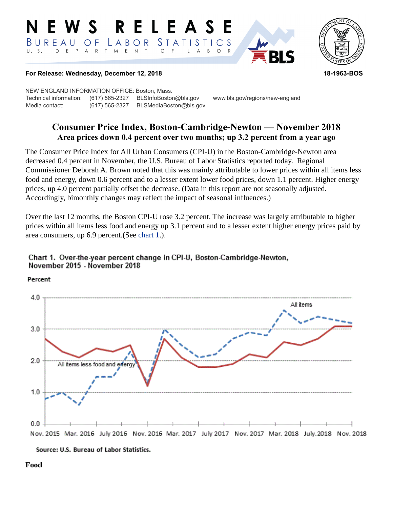#### RELEASE W S STATISTICS LABOR BUREAU O F  $E$  N  $\top$ D E P  $\overline{A}$  $\mathsf{R}$  $\top$ M  $\circ$ B  $\circ$



#### **For Release: Wednesday, December 12, 2018 18-1963-BOS**

NEW ENGLAND INFORMATION OFFICE: Boston, Mass. Technical information: (617) 565-2327 BLSInfoBoston@bls.gov www.bls.gov/regions/new-england Media contact: (617) 565-2327 BLSMediaBoston@bls.gov

# **Consumer Price Index, Boston-Cambridge-Newton — November 2018 Area prices down 0.4 percent over two months; up 3.2 percent from a year ago**

The Consumer Price Index for All Urban Consumers (CPI-U) in the Boston-Cambridge-Newton area decreased 0.4 percent in November, the U.S. Bureau of Labor Statistics reported today. Regional Commissioner Deborah A. Brown noted that this was mainly attributable to lower prices within all items less food and energy, down 0.6 percent and to a lesser extent lower food prices, down 1.1 percent. Higher energy prices, up 4.0 percent partially offset the decrease. (Data in this report are not seasonally adjusted. Accordingly, bimonthly changes may reflect the impact of seasonal influences.)

Over the last 12 months, the Boston CPI-U rose 3.2 percent. The increase was largely attributable to higher prices within all items less food and energy up 3.1 percent and to a lesser extent higher energy prices paid by area consumers, up 6.9 percent.(See [chart 1](#page-0-0).).

### <span id="page-0-0"></span>Chart 1. Over-the-year percent change in CPI-U, Boston-Cambridge-Newton, November 2015 - November 2018



Source: U.S. Bureau of Labor Statistics.

# Percent

#### **Food**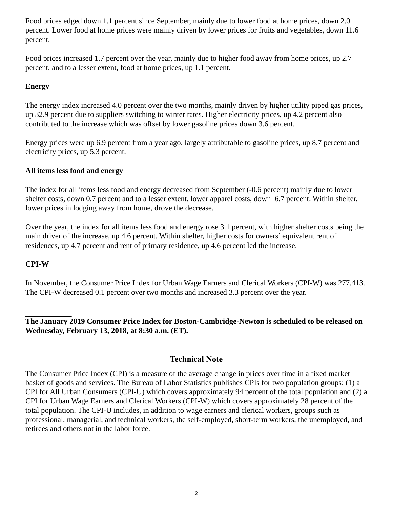Food prices edged down 1.1 percent since September, mainly due to lower food at home prices, down 2.0 percent. Lower food at home prices were mainly driven by lower prices for fruits and vegetables, down 11.6 percent.

Food prices increased 1.7 percent over the year, mainly due to higher food away from home prices, up 2.7 percent, and to a lesser extent, food at home prices, up 1.1 percent.

## **Energy**

The energy index increased 4.0 percent over the two months, mainly driven by higher utility piped gas prices, up 32.9 percent due to suppliers switching to winter rates. Higher electricity prices, up 4.2 percent also contributed to the increase which was offset by lower gasoline prices down 3.6 percent.

Energy prices were up 6.9 percent from a year ago, largely attributable to gasoline prices, up 8.7 percent and electricity prices, up 5.3 percent.

### **All items less food and energy**

The index for all items less food and energy decreased from September (-0.6 percent) mainly due to lower shelter costs, down 0.7 percent and to a lesser extent, lower apparel costs, down 6.7 percent. Within shelter, lower prices in lodging away from home, drove the decrease.

Over the year, the index for all items less food and energy rose 3.1 percent, with higher shelter costs being the main driver of the increase, up 4.6 percent. Within shelter, higher costs for owners' equivalent rent of residences, up 4.7 percent and rent of primary residence, up 4.6 percent led the increase.

#### **CPI-W**

In November, the Consumer Price Index for Urban Wage Earners and Clerical Workers (CPI-W) was 277.413. The CPI-W decreased 0.1 percent over two months and increased 3.3 percent over the year.

## **The January 2019 Consumer Price Index for Boston-Cambridge-Newton is scheduled to be released on Wednesday, February 13, 2018, at 8:30 a.m. (ET).**

## **Technical Note**

The Consumer Price Index (CPI) is a measure of the average change in prices over time in a fixed market basket of goods and services. The Bureau of Labor Statistics publishes CPIs for two population groups: (1) a CPI for All Urban Consumers (CPI-U) which covers approximately 94 percent of the total population and (2) a CPI for Urban Wage Earners and Clerical Workers (CPI-W) which covers approximately 28 percent of the total population. The CPI-U includes, in addition to wage earners and clerical workers, groups such as professional, managerial, and technical workers, the self-employed, short-term workers, the unemployed, and retirees and others not in the labor force.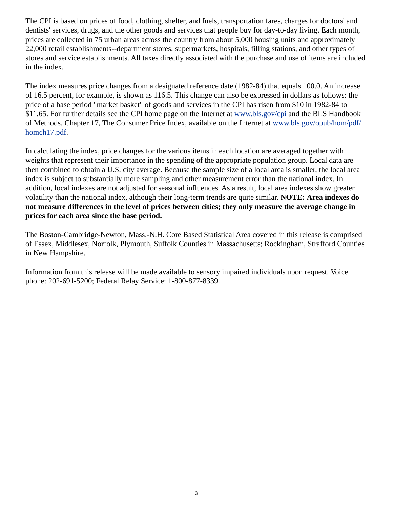The CPI is based on prices of food, clothing, shelter, and fuels, transportation fares, charges for doctors' and dentists' services, drugs, and the other goods and services that people buy for day-to-day living. Each month, prices are collected in 75 urban areas across the country from about 5,000 housing units and approximately 22,000 retail establishments--department stores, supermarkets, hospitals, filling stations, and other types of stores and service establishments. All taxes directly associated with the purchase and use of items are included in the index.

The index measures price changes from a designated reference date (1982-84) that equals 100.0. An increase of 16.5 percent, for example, is shown as 116.5. This change can also be expressed in dollars as follows: the price of a base period "market basket" of goods and services in the CPI has risen from \$10 in 1982-84 to \$11.65. For further details see the CPI home page on the Internet at [www.bls.gov/cpi](https://www.bls.gov/cpi) and the BLS Handbook of Methods, Chapter 17, The Consumer Price Index, available on the Internet at [www.bls.gov/opub/hom/pdf/](https://www.bls.gov/opub/hom/pdf/homch17.pdf) [homch17.pdf](https://www.bls.gov/opub/hom/pdf/homch17.pdf).

In calculating the index, price changes for the various items in each location are averaged together with weights that represent their importance in the spending of the appropriate population group. Local data are then combined to obtain a U.S. city average. Because the sample size of a local area is smaller, the local area index is subject to substantially more sampling and other measurement error than the national index. In addition, local indexes are not adjusted for seasonal influences. As a result, local area indexes show greater volatility than the national index, although their long-term trends are quite similar. **NOTE: Area indexes do not measure differences in the level of prices between cities; they only measure the average change in prices for each area since the base period.**

The Boston-Cambridge-Newton, Mass.-N.H. Core Based Statistical Area covered in this release is comprised of Essex, Middlesex, Norfolk, Plymouth, Suffolk Counties in Massachusetts; Rockingham, Strafford Counties in New Hampshire.

Information from this release will be made available to sensory impaired individuals upon request. Voice phone: 202-691-5200; Federal Relay Service: 1-800-877-8339.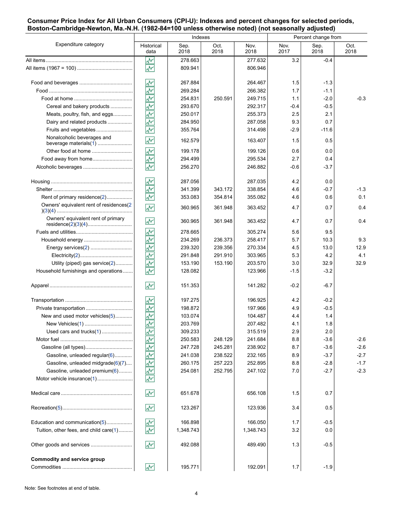#### **Consumer Price Index for All Urban Consumers (CPI-U): Indexes and percent changes for selected periods, Boston-Cambridge-Newton, Ma.-N.H. (1982-84=100 unless otherwise noted) (not seasonally adjusted)**

| Expenditure category                    | Indexes                                   |              |              |              | Percent change from |              |              |
|-----------------------------------------|-------------------------------------------|--------------|--------------|--------------|---------------------|--------------|--------------|
|                                         | Historical<br>data                        | Sep.<br>2018 | Oct.<br>2018 | Nov.<br>2018 | Nov.<br>2017        | Sep.<br>2018 | Oct.<br>2018 |
|                                         | W۲                                        | 278.663      |              | 277.632      | 3.2                 | $-0.4$       |              |
|                                         | W۸                                        | 809.941      |              | 806.946      |                     |              |              |
|                                         | ₩                                         | 267.884      |              | 264.467      | 1.5                 | $-1.3$       |              |
|                                         | ۸V                                        | 269.284      |              | 266.382      | 1.7                 | $-1.1$       |              |
|                                         | ş                                         | 254.831      | 250.591      | 249.715      | 1.1                 | $-2.0$       | $-0.3$       |
| Cereal and bakery products              | ķ                                         | 293.670      |              | 292.317      | $-0.4$              | $-0.5$       |              |
| Meats, poultry, fish, and eggs          | ž                                         | 250.017      |              | 255.373      | 2.5                 | 2.1          |              |
| Dairy and related products              | ş                                         | 284.950      |              | 287.058      | 9.3                 | 0.7          |              |
| Fruits and vegetables                   | ž                                         | 355.764      |              | 314.498      | $-2.9$              | $-11.6$      |              |
| Nonalcoholic beverages and              | ۸Y                                        | 162.579      |              | 163.407      | 1.5                 | 0.5          |              |
|                                         | ž                                         | 199.178      |              | 199.126      | 0.6                 | 0.0          |              |
| Food away from home                     | $\overline{\mathbf{r}}$                   | 294.499      |              | 295.534      | 2.7                 | 0.4          |              |
|                                         | $\overline{\mathbf{v}}$                   | 256.270      |              | 246.882      | $-0.6$              | $-3.7$       |              |
|                                         | ž                                         | 287.056      |              | 287.035      | 4.2                 | 0.0          |              |
|                                         | W                                         | 341.399      | 343.172      | 338.854      | 4.6                 | $-0.7$       | $-1.3$       |
| Rent of primary residence(2)            | $\overline{\mathcal{N}}$                  | 353.083      | 354.814      | 355.082      | 4.6                 | 0.6          | 0.1          |
| Owners' equivalent rent of residences(2 | ₩                                         | 360.965      | 361.948      | 363.452      | 4.7                 | 0.7          | 0.4          |
| Owners' equivalent rent of primary      | ₩                                         | 360.965      | 361.948      | 363.452      | 4.7                 | 0.7          | 0.4          |
|                                         | ž                                         | 278.665      |              | 305.274      | 5.6                 | 9.5          |              |
|                                         | $\overline{\mathbf{v}}$                   | 234.269      | 236.373      | 258.417      | 5.7                 | 10.3         | 9.3          |
| Energy services(2)                      | $\overline{\tilde{\mathbf{z}}^{\prime}}$  | 239.320      | 239.356      | 270.334      | 4.5                 | 13.0         | 12.9         |
|                                         | $\overline{\mathbf{r}}$                   | 291.848      | 291.910      | 303.965      | 5.3                 | 4.2          | 4.1          |
| Utility (piped) gas service(2)          | $\frac{(\sqrt{\lambda})}{\sqrt{\lambda}}$ | 153.190      | 153.190      | 203.570      | 3.0                 | 32.9         | 32.9         |
| Household furnishings and operations    | W۰                                        | 128.082      |              | 123.966      | $-1.5$              | $-3.2$       |              |
|                                         | ŵ٧                                        | 151.353      |              | 141.282      | $-0.2$              | $-6.7$       |              |
|                                         | W۰                                        | 197.275      |              | 196.925      | 4.2                 | $-0.2$       |              |
|                                         | $\overline{\mathcal{N}}$                  | 198.872      |              | 197.966      | 4.9                 | $-0.5$       |              |
| New and used motor vehicles(5)          | W                                         | 103.074      |              | 104.487      | 4.4                 | 1.4          |              |
| New Vehicles(1)                         | λY.                                       | 203.769      |              | 207.482      | 4.1                 | 1.8          |              |
| Used cars and trucks(1)                 | ž                                         | 309.233      |              | 315.519      | 2.9                 | 2.0          |              |
|                                         | ž                                         | 250.583      | 248.129      | 241.684      | 8.8                 | $-3.6$       | $-2.6$       |
| Gasoline (all types)                    |                                           | 247.728      | 245.281      | 238.902      | 8.7                 | $-3.6$       | $-2.6$       |
| Gasoline, unleaded regular(6)           |                                           | 241.038      | 238.522      | 232.165      | 8.9                 | $-3.7$       | $-2.7$       |
| Gasoline, unleaded midgrade(6)(7)       | 초초치                                       | 260.175      | 257.223      | 252.895      | 8.8                 | $-2.8$       | $-1.7$       |
| Gasoline, unleaded premium(6)           |                                           | 254.081      | 252.795      | 247.102      | 7.0                 | $-2.7$       | $-2.3$       |
| Motor vehicle insurance(1)              | $\frac{1}{2}$                             |              |              |              |                     |              |              |
|                                         | ۸V                                        | 651.678      |              | 656.108      | 1.5                 | 0.7          |              |
|                                         | ۸M                                        | 123.267      |              | 123.936      | 3.4                 | 0.5          |              |
| Education and communication(5)          | W۲                                        | 166.898      |              | 166.050      | 1.7                 | $-0.5$       |              |
| Tuition, other fees, and child care(1)  | W                                         | 1,348.743    |              | 1,348.743    | 3.2                 | 0.0          |              |
| Other goods and services                | ۸M                                        | 492.088      |              | 489.490      | 1.3                 | $-0.5$       |              |
| Commodity and service group             |                                           |              |              |              |                     |              |              |
|                                         | k۲                                        | 195.771      |              | 192.091      | 1.7                 | $-1.9$       |              |